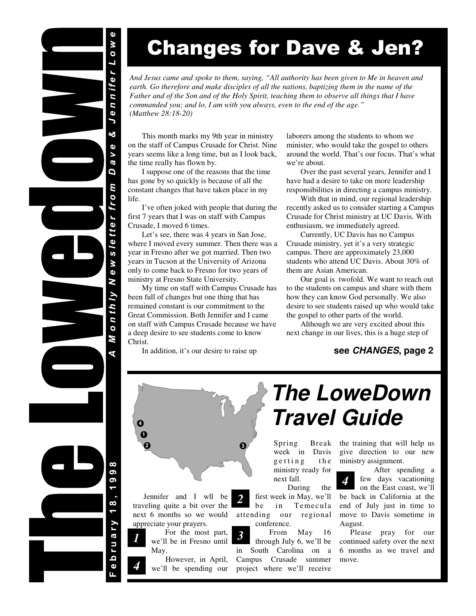# ennifer Low oð.  $\ddot{\mathbf{Q}}$ a v D sletter from ew.  $\overline{\mathbf{X}}$  $0$  n th  $1$   $V$ M ၜ ၜ  $\infty$ **Druary**  $\mathbf 0$

# Changes for Dave & Jen?

*And Jesus came and spoke to them, saying, "All authority has been given to Me in heaven and*  earth. Go therefore and make disciples of all the nations, baptizing them in the name of the *Father and of the Son and of the Holy Spirit, teaching them to observe all things that I have commanded you; and lo, I am with you always, even to the end of the age." (Matthew 28:18-20)* 

 This month marks my 9th year in ministry on the staff of Campus Crusade for Christ. Nine years seems like a long time, but as I look back, the time really has flown by.

 I suppose one of the reasons that the time has gone by so quickly is because of all the constant changes that have taken place in my life.

 I've often joked with people that during the first 7 years that I was on staff with Campus Crusade, I moved 6 times.

 Let's see, there was 4 years in San Jose, where I moved every summer. Then there was a year in Fresno after we got married. Then two years in Tucson at the University of Arizona only to come back to Fresno for two years of ministry at Fresno State University.

 My time on staff with Campus Crusade has been full of changes but one thing that has remained constant is our commitment to the Great Commission. Both Jennifer and I came on staff with Campus Crusade because we have a deep desire to see students come to know Christ.

In addition, it's our desire to raise up

laborers among the students to whom we minister, who would take the gospel to others around the world. That's our focus. That's what we're about.

 Over the past several years, Jennifer and I have had a desire to take on more leadership responsibilities in directing a campus ministry.

 With that in mind, our regional leadership recently asked us to consider starting a Campus Crusade for Christ ministry at UC Davis. With enthusiasm, we immediately agreed.

 Currently, UC Davis has no Campus Crusade ministry, yet it's a very strategic campus. There are approximately 23,000 students who attend UC Davis. About 30% of them are Asian American.

 Our goal is twofold. We want to reach out to the students on campus and share with them how they can know God personally. We also desire to see students raised up who would take the gospel to other parts of the world.

 Although we are very excited about this next change in our lives, this is a huge step of

### **see CHANGES, page 2**



 Jennifer and I wll be traveling quite a bit over the next 6 months so we would appreciate your prayers.

 For the most part, we'll be in Fresno until May. *1* 

> However, in April, we'll be spending our

*4* 

# **The LoweDown Travel Guide**

Spring Break week in Davis getting the ministry ready for next fall.

 During the first week in May, we'll in Temecula attending our regional conference.

*2* 

 From May 16 through July 6, we'll be in South Carolina on a Campus Crusade summer project where we'll receive *3* 

the training that will help us give direction to our new ministry assignment.

 After spending a few days vacationing on the East coast, we'll be back in California at the end of July just in time to move to Davis sometime in August. *4* 

 Please pray for our continued safety over the next 6 months as we travel and move.